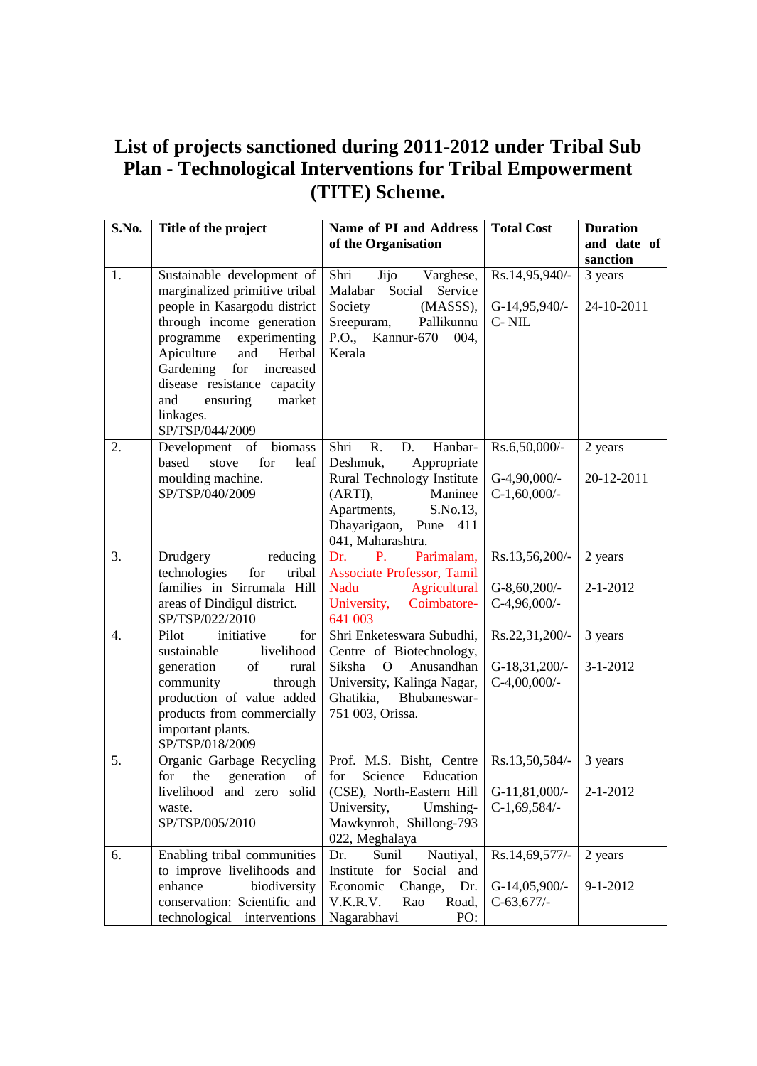## **List of projects sanctioned during 2011-2012 under Tribal Sub Plan - Technological Interventions for Tribal Empowerment (TITE) Scheme.**

| S.No.            | Title of the project                                                                                                                                                                                                                                                                 | Name of PI and Address<br>of the Organisation                                                                                | <b>Total Cost</b>                  | <b>Duration</b><br>and date of |
|------------------|--------------------------------------------------------------------------------------------------------------------------------------------------------------------------------------------------------------------------------------------------------------------------------------|------------------------------------------------------------------------------------------------------------------------------|------------------------------------|--------------------------------|
| 1.               | Sustainable development of                                                                                                                                                                                                                                                           | Shri<br>Jijo<br>Varghese,                                                                                                    | Rs.14,95,940/-                     | sanction<br>3 years            |
|                  | marginalized primitive tribal<br>people in Kasargodu district<br>through income generation<br>experimenting<br>programme<br>Apiculture<br>and<br>Herbal<br>Gardening<br>for<br>increased<br>disease resistance capacity<br>ensuring<br>and<br>market<br>linkages.<br>SP/TSP/044/2009 | Malabar<br>Social<br>Service<br>Society<br>(MASSS),<br>Sreepuram,<br>Pallikunnu<br>P.O., Kannur-670<br>004,<br>Kerala        | G-14,95,940/-<br>C-NIL             | 24-10-2011                     |
| 2.               | Development of biomass<br>based<br>stove<br>for<br>leaf                                                                                                                                                                                                                              | Shri<br>Hanbar-<br>R.<br>D.<br>Deshmuk,<br>Appropriate                                                                       | Rs.6,50,000/-                      | 2 years                        |
|                  | moulding machine.<br>SP/TSP/040/2009                                                                                                                                                                                                                                                 | Rural Technology Institute<br>(ARTI),<br>Maninee<br>Apartments,<br>S.No.13,<br>Dhayarigaon, Pune<br>411<br>041, Maharashtra. | $G-4,90,000/$ -<br>$C-1,60,000/$ - | 20-12-2011                     |
| 3.               | reducing<br>Drudgery<br>technologies<br>tribal<br>for                                                                                                                                                                                                                                | Parimalam,<br>Dr.<br><b>P.</b><br><b>Associate Professor, Tamil</b>                                                          | Rs.13,56,200/-                     | 2 years                        |
|                  | families in Sirrumala Hill<br>areas of Dindigul district.<br>SP/TSP/022/2010                                                                                                                                                                                                         | Agricultural<br>Nadu<br>University,<br>Coimbatore-<br>641 003                                                                | $G-8,60,200/$ -<br>$C-4,96,000/$ - | $2 - 1 - 2012$                 |
| $\overline{4}$ . | initiative<br>for<br>Pilot<br>livelihood<br>sustainable                                                                                                                                                                                                                              | Shri Enketeswara Subudhi,<br>Centre of Biotechnology,                                                                        | Rs.22,31,200/-                     | 3 years                        |
|                  | generation<br>of<br>rural<br>community<br>through<br>production of value added<br>products from commercially<br>important plants.<br>SP/TSP/018/2009                                                                                                                                 | Anusandhan<br>Siksha<br>$\Omega$<br>University, Kalinga Nagar,<br>Ghatikia,<br>Bhubaneswar-<br>751 003, Orissa.              | $G-18,31,200/-$<br>$C-4,00,000/$ - | $3 - 1 - 2012$                 |
| 5.               | Organic Garbage Recycling<br>the<br>of<br>for<br>generation                                                                                                                                                                                                                          | Prof. M.S. Bisht, Centre<br>for<br>Science<br>Education                                                                      | Rs.13,50,584/-                     | 3 years                        |
|                  | livelihood and zero solid<br>waste.<br>SP/TSP/005/2010                                                                                                                                                                                                                               | (CSE), North-Eastern Hill<br>University,<br>Umshing-<br>Mawkynroh, Shillong-793<br>022, Meghalaya                            | $G-11,81,000/$ -<br>$C-1,69,584/-$ | $2 - 1 - 2012$                 |
| 6.               | Enabling tribal communities<br>to improve livelihoods and                                                                                                                                                                                                                            | Nautiyal,<br>Dr.<br>Sunil<br>Institute for<br>Social<br>and                                                                  | Rs.14,69,577/-                     | 2 years                        |
|                  | enhance<br>biodiversity<br>conservation: Scientific and<br>technological interventions                                                                                                                                                                                               | Economic<br>Change,<br>Dr.<br>V.K.R.V.<br>Road,<br>Rao<br>PO:<br>Nagarabhavi                                                 | G-14,05,900/-<br>$C-63,677/$       | 9-1-2012                       |